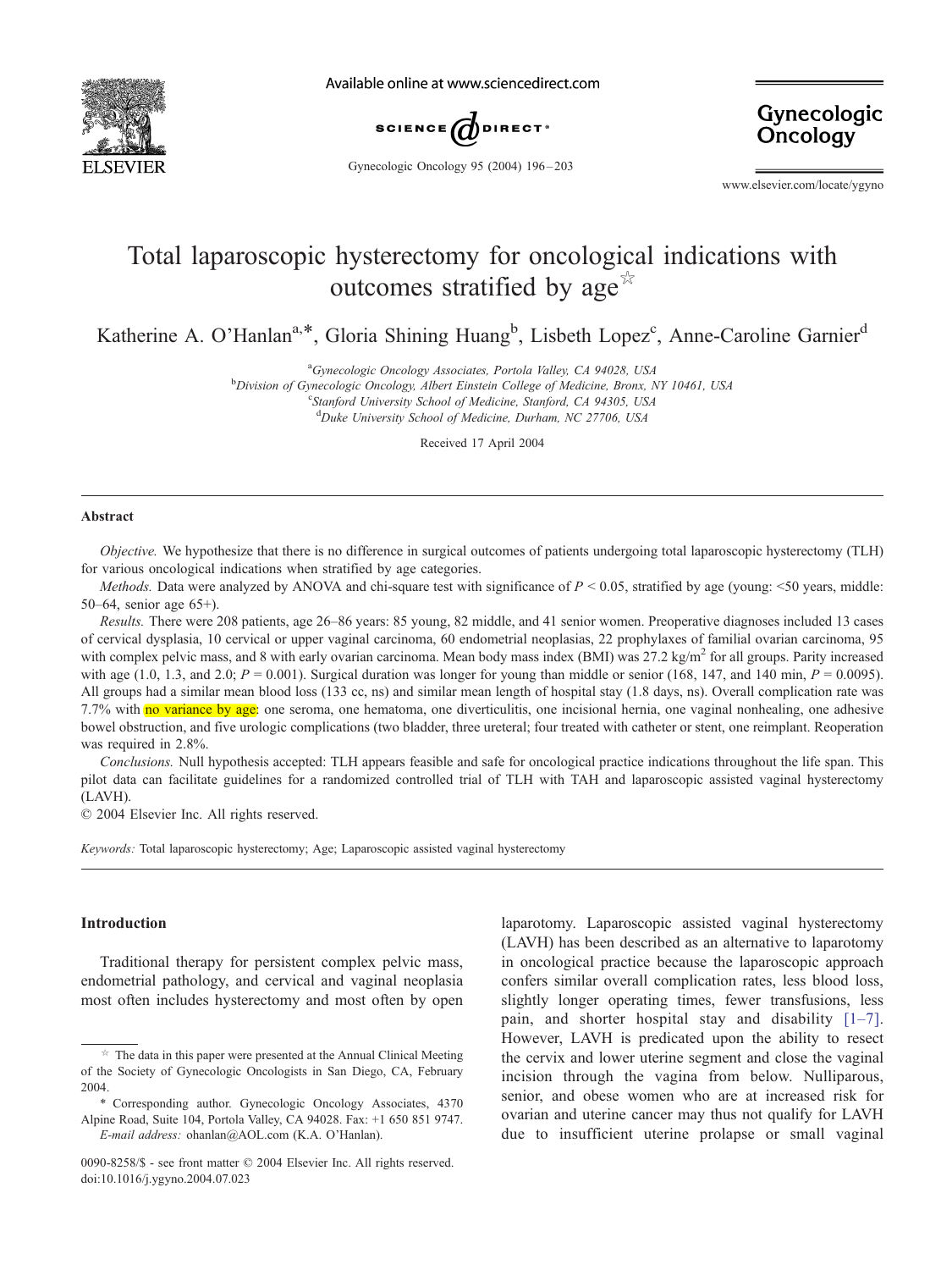

Available online at www.sciencedirect.com



Gynecologic Oncology 95 (2004) 196 – 203

Gynecologic **Oncology** 

www.elsevier.com/locate/ygyno

# Total laparoscopic hysterectomy for oncological indications with outcomes stratified by age<sup> $\hat{\mathbb{X}}$ </sup>

Katherine A. O'Hanlan<sup>a,\*</sup>, Gloria Shining Huang<sup>b</sup>, Lisbeth Lopez<sup>c</sup>, Anne-Caroline Garnier<sup>d</sup>

<sup>a</sup>Gynecologic Oncology Associates, Portola Valley, CA 94028, USA

<sup>a</sup>Gynecologic Oncology Associates, Portola Valley, CA 94028, USA<br><sup>b</sup>Division of Gynecologic Oncology, Albert Einstein College of Medicine, Bronx, NY 10461, USA

c Stanford University School of Medicine, Stanford, CA 94305, USA

<sup>d</sup>Duke University School of Medicine, Durham, NC 27706, USA

Received 17 April 2004

#### Abstract

Objective. We hypothesize that there is no difference in surgical outcomes of patients undergoing total laparoscopic hysterectomy (TLH) for various oncological indications when stratified by age categories.

*Methods*. Data were analyzed by ANOVA and chi-square test with significance of  $P < 0.05$ , stratified by age (young: <50 years, middle: 50–64, senior age 65+).

Results. There were 208 patients, age 26–86 years: 85 young, 82 middle, and 41 senior women. Preoperative diagnoses included 13 cases of cervical dysplasia, 10 cervical or upper vaginal carcinoma, 60 endometrial neoplasias, 22 prophylaxes of familial ovarian carcinoma, 95 with complex pelvic mass, and 8 with early ovarian carcinoma. Mean body mass index (BMI) was  $27.2 \text{ kg/m}^2$  for all groups. Parity increased with age (1.0, 1.3, and 2.0;  $P = 0.001$ ). Surgical duration was longer for young than middle or senior (168, 147, and 140 min,  $P = 0.0095$ ). All groups had a similar mean blood loss (133 cc, ns) and similar mean length of hospital stay (1.8 days, ns). Overall complication rate was 7.7% with no variance by age: one seroma, one hematoma, one diverticulitis, one incisional hernia, one vaginal nonhealing, one adhesive bowel obstruction, and five urologic complications (two bladder, three ureteral; four treated with catheter or stent, one reimplant. Reoperation was required in 2.8%.

Conclusions. Null hypothesis accepted: TLH appears feasible and safe for oncological practice indications throughout the life span. This pilot data can facilitate guidelines for a randomized controlled trial of TLH with TAH and laparoscopic assisted vaginal hysterectomy (LAVH).

 $© 2004 Elsevier Inc. All rights reserved.$ 

Keywords: Total laparoscopic hysterectomy; Age; Laparoscopic assisted vaginal hysterectomy

## Introduction

Traditional therapy for persistent complex pelvic mass, endometrial pathology, and cervical and vaginal neoplasia most often includes hysterectomy and most often by open laparotomy. Laparoscopic assisted vaginal hysterectomy (LAVH) has been described as an alternative to laparotomy in oncological practice because the laparoscopic approach confers similar overall complication rates, less blood loss, slightly longer operating times, fewer transfusions, less pain, and shorter hospital stay and disability [\[1–7\].](#page-6-0) However, LAVH is predicated upon the ability to resect the cervix and lower uterine segment and close the vaginal incision through the vagina from below. Nulliparous, senior, and obese women who are at increased risk for ovarian and uterine cancer may thus not qualify for LAVH due to insufficient uterine prolapse or small vaginal

 $*$  The data in this paper were presented at the Annual Clinical Meeting of the Society of Gynecologic Oncologists in San Diego, CA, February 2004.

<sup>\*</sup> Corresponding author. Gynecologic Oncology Associates, 4370 Alpine Road, Suite 104, Portola Valley, CA 94028. Fax: +1 650 851 9747. E-mail address: ohanlan@AOL.com (K.A. O'Hanlan).

<sup>0090-8258/\$ -</sup> see front matter © 2004 Elsevier Inc. All rights reserved. doi:10.1016/j.ygyno.2004.07.023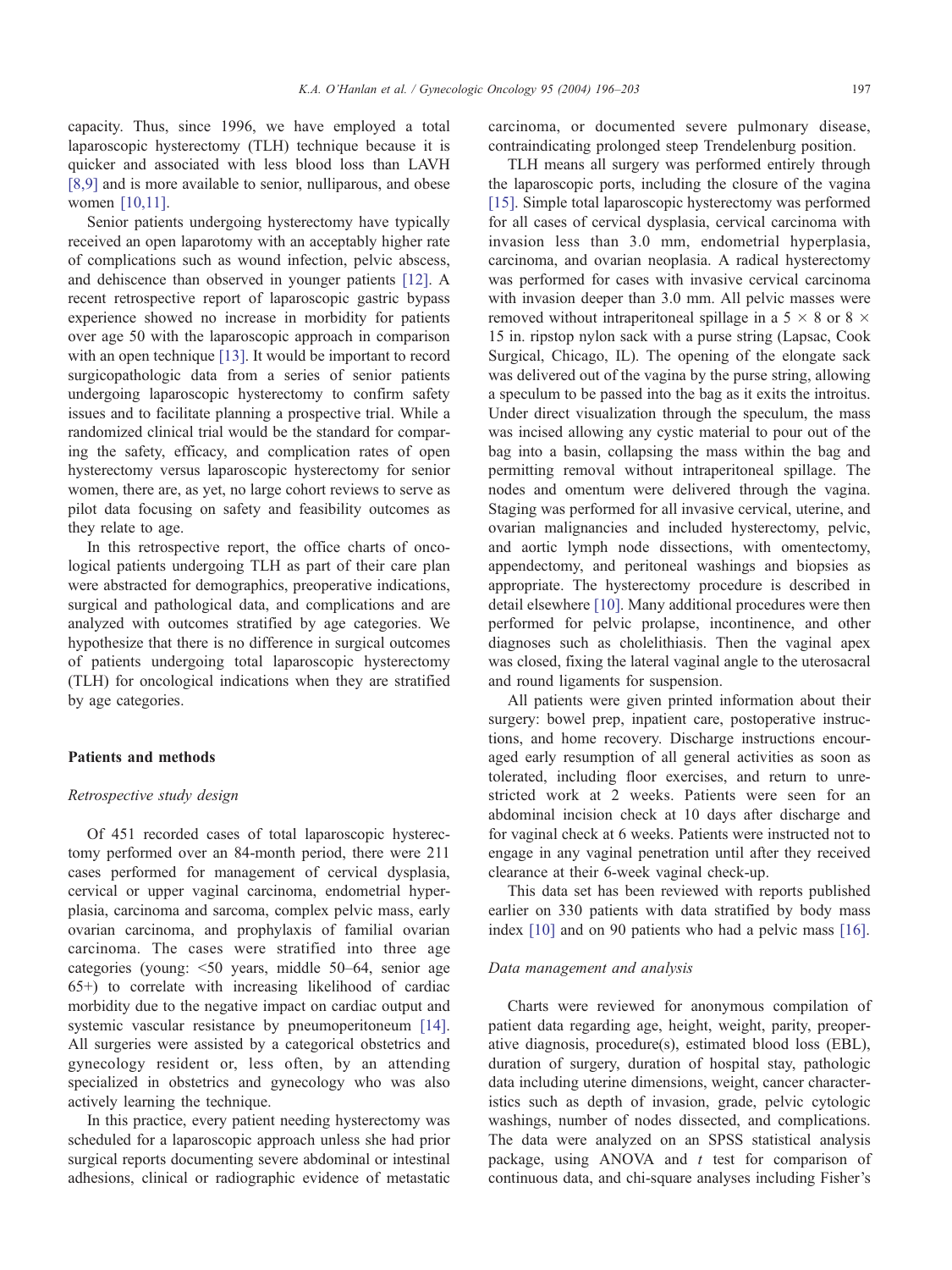capacity. Thus, since 1996, we have employed a total laparoscopic hysterectomy (TLH) technique because it is quicker and associated with less blood loss than LAVH [\[8,9\]](#page-6-0) and is more available to senior, nulliparous, and obese women [\[10,11\].](#page-6-0)

Senior patients undergoing hysterectomy have typically received an open laparotomy with an acceptably higher rate of complications such as wound infection, pelvic abscess, and dehiscence than observed in younger patients [\[12\].](#page-6-0) A recent retrospective report of laparoscopic gastric bypass experience showed no increase in morbidity for patients over age 50 with the laparoscopic approach in comparison with an open technique [\[13\].](#page-6-0) It would be important to record surgicopathologic data from a series of senior patients undergoing laparoscopic hysterectomy to confirm safety issues and to facilitate planning a prospective trial. While a randomized clinical trial would be the standard for comparing the safety, efficacy, and complication rates of open hysterectomy versus laparoscopic hysterectomy for senior women, there are, as yet, no large cohort reviews to serve as pilot data focusing on safety and feasibility outcomes as they relate to age.

In this retrospective report, the office charts of oncological patients undergoing TLH as part of their care plan were abstracted for demographics, preoperative indications, surgical and pathological data, and complications and are analyzed with outcomes stratified by age categories. We hypothesize that there is no difference in surgical outcomes of patients undergoing total laparoscopic hysterectomy (TLH) for oncological indications when they are stratified by age categories.

## Patients and methods

### Retrospective study design

Of 451 recorded cases of total laparoscopic hysterectomy performed over an 84-month period, there were 211 cases performed for management of cervical dysplasia, cervical or upper vaginal carcinoma, endometrial hyperplasia, carcinoma and sarcoma, complex pelvic mass, early ovarian carcinoma, and prophylaxis of familial ovarian carcinoma. The cases were stratified into three age categories (young:  $\leq 50$  years, middle 50–64, senior age 65+) to correlate with increasing likelihood of cardiac morbidity due to the negative impact on cardiac output and systemic vascular resistance by pneumoperitoneum [\[14\].](#page-6-0) All surgeries were assisted by a categorical obstetrics and gynecology resident or, less often, by an attending specialized in obstetrics and gynecology who was also actively learning the technique.

In this practice, every patient needing hysterectomy was scheduled for a laparoscopic approach unless she had prior surgical reports documenting severe abdominal or intestinal adhesions, clinical or radiographic evidence of metastatic carcinoma, or documented severe pulmonary disease, contraindicating prolonged steep Trendelenburg position.

TLH means all surgery was performed entirely through the laparoscopic ports, including the closure of the vagina [\[15\].](#page-6-0) Simple total laparoscopic hysterectomy was performed for all cases of cervical dysplasia, cervical carcinoma with invasion less than 3.0 mm, endometrial hyperplasia, carcinoma, and ovarian neoplasia. A radical hysterectomy was performed for cases with invasive cervical carcinoma with invasion deeper than 3.0 mm. All pelvic masses were removed without intraperitoneal spillage in a 5  $\times$  8 or 8  $\times$ 15 in. ripstop nylon sack with a purse string (Lapsac, Cook Surgical, Chicago, IL). The opening of the elongate sack was delivered out of the vagina by the purse string, allowing a speculum to be passed into the bag as it exits the introitus. Under direct visualization through the speculum, the mass was incised allowing any cystic material to pour out of the bag into a basin, collapsing the mass within the bag and permitting removal without intraperitoneal spillage. The nodes and omentum were delivered through the vagina. Staging was performed for all invasive cervical, uterine, and ovarian malignancies and included hysterectomy, pelvic, and aortic lymph node dissections, with omentectomy, appendectomy, and peritoneal washings and biopsies as appropriate. The hysterectomy procedure is described in detail elsewhere [\[10\].](#page-6-0) Many additional procedures were then performed for pelvic prolapse, incontinence, and other diagnoses such as cholelithiasis. Then the vaginal apex was closed, fixing the lateral vaginal angle to the uterosacral and round ligaments for suspension.

All patients were given printed information about their surgery: bowel prep, inpatient care, postoperative instructions, and home recovery. Discharge instructions encouraged early resumption of all general activities as soon as tolerated, including floor exercises, and return to unrestricted work at 2 weeks. Patients were seen for an abdominal incision check at 10 days after discharge and for vaginal check at 6 weeks. Patients were instructed not to engage in any vaginal penetration until after they received clearance at their 6-week vaginal check-up.

This data set has been reviewed with reports published earlier on 330 patients with data stratified by body mass index [\[10\]](#page-6-0) and on 90 patients who had a pelvic mass [\[16\].](#page-6-0)

#### Data management and analysis

Charts were reviewed for anonymous compilation of patient data regarding age, height, weight, parity, preoperative diagnosis, procedure(s), estimated blood loss (EBL), duration of surgery, duration of hospital stay, pathologic data including uterine dimensions, weight, cancer characteristics such as depth of invasion, grade, pelvic cytologic washings, number of nodes dissected, and complications. The data were analyzed on an SPSS statistical analysis package, using ANOVA and  $t$  test for comparison of continuous data, and chi-square analyses including Fisher's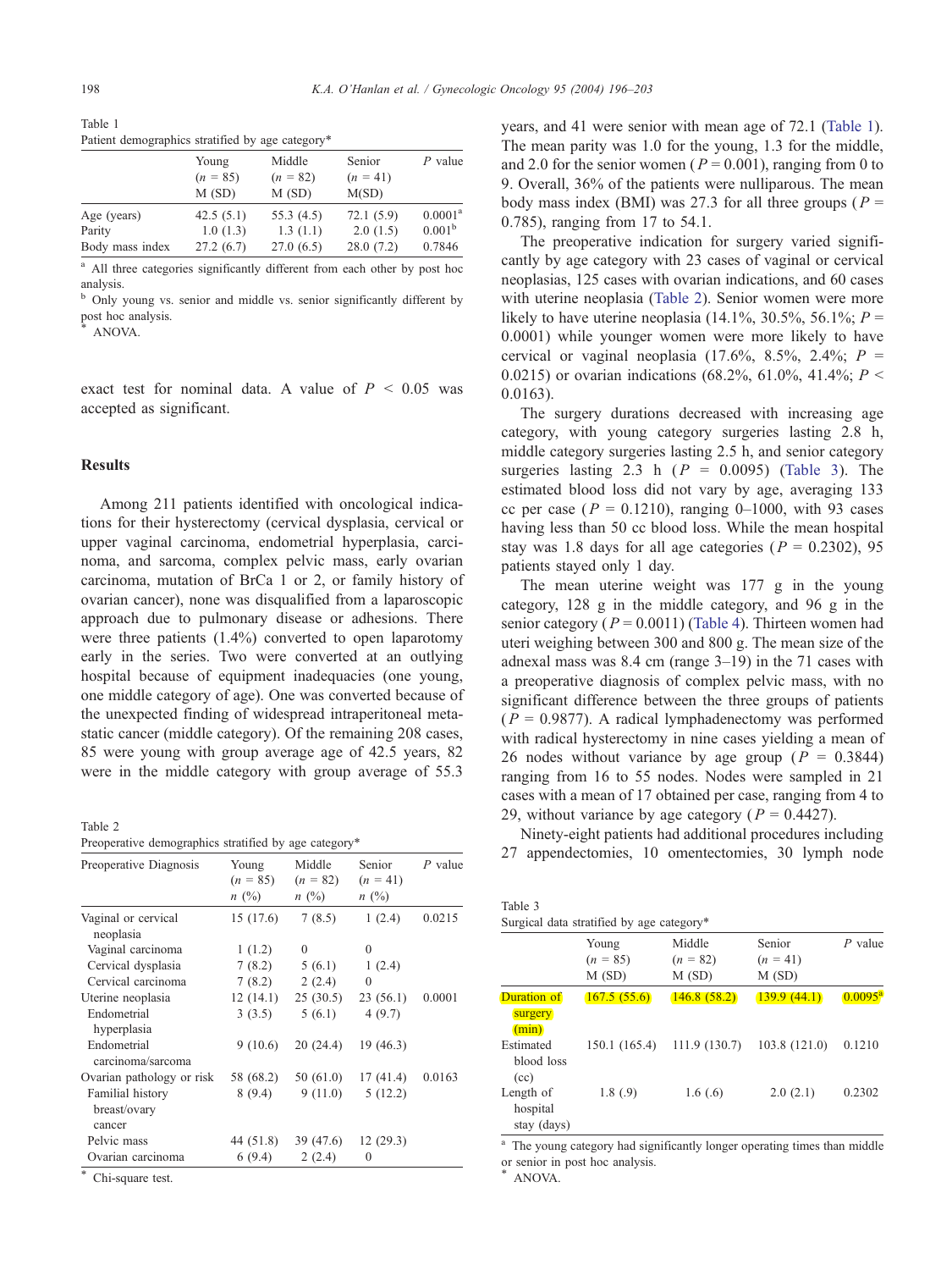Table 1 Patient demographics stratified by age category\*

|                       | Young<br>$(n = 85)$<br>M(SD) | Middle<br>$(n = 82)$<br>M(SD) | Senior<br>$(n = 41)$<br>M(SD) | $P$ value                                 |
|-----------------------|------------------------------|-------------------------------|-------------------------------|-------------------------------------------|
| Age (years)<br>Parity | 42.5(5.1)<br>1.0(1.3)        | 55.3(4.5)<br>1.3(1.1)         | 72.1(5.9)<br>2.0(1.5)         | 0.0001 <sup>a</sup><br>0.001 <sup>b</sup> |
| Body mass index       | 27.2(6.7)                    | 27.0(6.5)                     | 28.0(7.2)                     | 0.7846                                    |

<sup>a</sup> All three categories significantly different from each other by post hoc analysis.

<sup>b</sup> Only young vs. senior and middle vs. senior significantly different by post hoc analysis.

ANOVA.

exact test for nominal data. A value of  $P < 0.05$  was accepted as significant.

## Results

Among 211 patients identified with oncological indications for their hysterectomy (cervical dysplasia, cervical or upper vaginal carcinoma, endometrial hyperplasia, carcinoma, and sarcoma, complex pelvic mass, early ovarian carcinoma, mutation of BrCa 1 or 2, or family history of ovarian cancer), none was disqualified from a laparoscopic approach due to pulmonary disease or adhesions. There were three patients (1.4%) converted to open laparotomy early in the series. Two were converted at an outlying hospital because of equipment inadequacies (one young, one middle category of age). One was converted because of the unexpected finding of widespread intraperitoneal metastatic cancer (middle category). Of the remaining 208 cases, 85 were young with group average age of 42.5 years, 82 were in the middle category with group average of 55.3

Table 2

| Preoperative demographics stratified by age category* |  |  |
|-------------------------------------------------------|--|--|
|                                                       |  |  |

| Preoperative Diagnosis                     | Young<br>$(n = 85)$<br>$n \ (\%)$ | Middle<br>$(n = 82)$<br>n(%) | Senior<br>$(n = 41)$<br>n (%) | $P$ value |
|--------------------------------------------|-----------------------------------|------------------------------|-------------------------------|-----------|
| Vaginal or cervical<br>neoplasia           | 15(17.6)                          | 7(8.5)                       | 1(2.4)                        | 0.0215    |
| Vaginal carcinoma                          | 1(1.2)                            | $\theta$                     | $\theta$                      |           |
| Cervical dysplasia                         | 7(8.2)                            | 5(6.1)                       | 1(2.4)                        |           |
| Cervical carcinoma                         | 7(8.2)                            | 2(2.4)                       | $\theta$                      |           |
| Uterine neoplasia                          | 12(14.1)                          | 25(30.5)                     | 23(56.1)                      | 0.0001    |
| Endometrial<br>hyperplasia                 | 3(3.5)                            | 5(6.1)                       | 4(9.7)                        |           |
| Endometrial<br>carcinoma/sarcoma           | 9(10.6)                           | 20(24.4)                     | 19 (46.3)                     |           |
| Ovarian pathology or risk                  | 58 (68.2)                         | 50 (61.0)                    | 17 (41.4)                     | 0.0163    |
| Familial history<br>breast/ovary<br>cancer | 8(9.4)                            | 9(11.0)                      | 5(12.2)                       |           |
| Pelvic mass                                | 44 (51.8)                         | 39 (47.6)                    | 12(29.3)                      |           |
| Ovarian carcinoma                          | 6(9.4)                            | 2(2.4)                       | $\theta$                      |           |

Chi-square test.

years, and 41 were senior with mean age of 72.1 (Table 1). The mean parity was 1.0 for the young, 1.3 for the middle, and 2.0 for the senior women ( $P = 0.001$ ), ranging from 0 to 9. Overall, 36% of the patients were nulliparous. The mean body mass index (BMI) was 27.3 for all three groups ( $P =$ 0.785), ranging from 17 to 54.1.

The preoperative indication for surgery varied significantly by age category with 23 cases of vaginal or cervical neoplasias, 125 cases with ovarian indications, and 60 cases with uterine neoplasia (Table 2). Senior women were more likely to have uterine neoplasia (14.1%, 30.5%, 56.1%;  $P =$ 0.0001) while younger women were more likely to have cervical or vaginal neoplasia  $(17.6\%, 8.5\%, 2.4\%; P =$ 0.0215) or ovarian indications (68.2%, 61.0%, 41.4%;  $P \leq$ 0.0163).

The surgery durations decreased with increasing age category, with young category surgeries lasting 2.8 h, middle category surgeries lasting 2.5 h, and senior category surgeries lasting 2.3 h ( $P = 0.0095$ ) (Table 3). The estimated blood loss did not vary by age, averaging 133 cc per case ( $P = 0.1210$ ), ranging 0–1000, with 93 cases having less than 50 cc blood loss. While the mean hospital stay was 1.8 days for all age categories ( $P = 0.2302$ ), 95 patients stayed only 1 day.

The mean uterine weight was 177 g in the young category, 128 g in the middle category, and 96 g in the senior category ( $P = 0.0011$ ) ([Table 4\)](#page-3-0). Thirteen women had uteri weighing between 300 and 800 g. The mean size of the adnexal mass was 8.4 cm (range 3–19) in the 71 cases with a preoperative diagnosis of complex pelvic mass, with no significant difference between the three groups of patients  $(P = 0.9877)$ . A radical lymphadenectomy was performed with radical hysterectomy in nine cases yielding a mean of 26 nodes without variance by age group ( $P = 0.3844$ ) ranging from 16 to 55 nodes. Nodes were sampled in 21 cases with a mean of 17 obtained per case, ranging from 4 to 29, without variance by age category ( $P = 0.4427$ ).

Ninety-eight patients had additional procedures including 27 appendectomies, 10 omentectomies, 30 lymph node

| Table 3                                   |                              |                               |                               |                  |  |  |
|-------------------------------------------|------------------------------|-------------------------------|-------------------------------|------------------|--|--|
| Surgical data stratified by age category* |                              |                               |                               |                  |  |  |
|                                           | Young<br>$(n = 85)$<br>M(SD) | Middle<br>$(n = 82)$<br>M(SD) | Senior<br>$(n = 41)$<br>M(SD) | $P$ value        |  |  |
| Duration of<br>surgery<br>(min)           | 167.5(55.6)                  | 146.8(58.2)                   | 139.9(44.1)                   | $0.0095^{\rm a}$ |  |  |
| Estimated<br>blood loss<br>(cc)           | 150.1 (165.4)                | 111.9(130.7)                  | 103.8 (121.0)                 | 0.1210           |  |  |
| Length of<br>hospital<br>stay (days)      | 1.8(.9)                      | 1.6(0.6)                      | 2.0(2.1)                      | 0.2302           |  |  |

<sup>a</sup> The young category had significantly longer operating times than middle or senior in post hoc analysis.

ANOVA.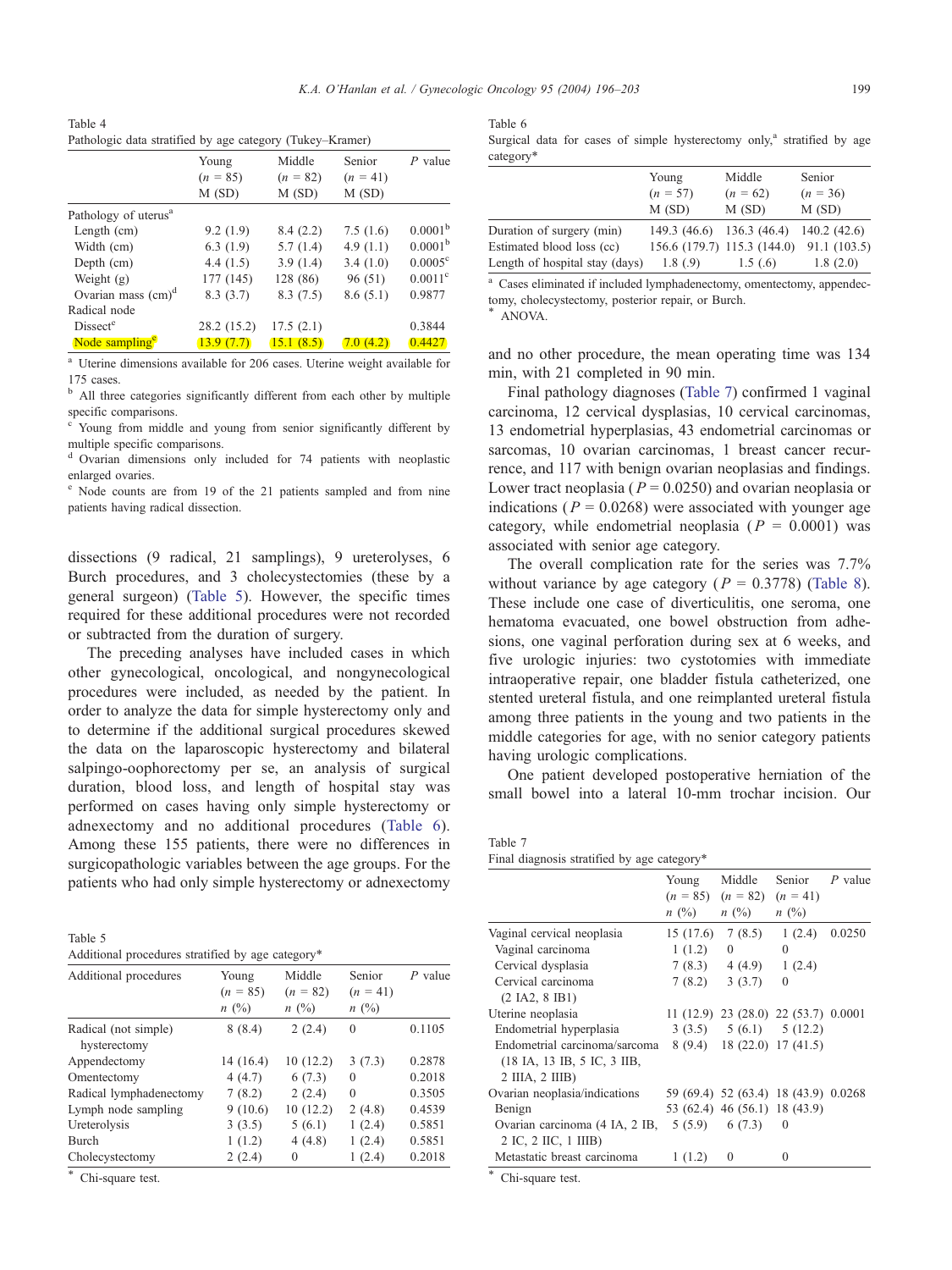<span id="page-3-0"></span>Table 4 Pathologic data stratified by age category (Tukey–Kramer)

|                                  | Young       | Middle     | Senior     | $P$ value             |
|----------------------------------|-------------|------------|------------|-----------------------|
|                                  | $(n = 85)$  | $(n = 82)$ | $(n = 41)$ |                       |
|                                  | M(SD)       | M(SD)      | M(SD)      |                       |
| Pathology of uterus <sup>a</sup> |             |            |            |                       |
| Length (cm)                      | 9.2(1.9)    | 8.4(2.2)   | 7.5(1.6)   | 0.0001 <sup>b</sup>   |
| Width (cm)                       | 6.3(1.9)    | 5.7(1.4)   | 4.9(1.1)   | 0.0001 <sup>b</sup>   |
| Depth (cm)                       | 4.4 $(1.5)$ | 3.9(1.4)   | 3.4(1.0)   | $0.0005$ <sup>c</sup> |
| Weight $(g)$                     | 177 (145)   | 128 (86)   | 96(51)     | $0.0011^{\circ}$      |
| Ovarian mass $(cm)d$             | 8.3(3.7)    | 8.3(7.5)   | 8.6(5.1)   | 0.9877                |
| Radical node                     |             |            |            |                       |
| Dissect <sup>e</sup>             | 28.2 (15.2) | 17.5(2.1)  |            | 0.3844                |
| Node sampling <sup>e</sup>       | 13.9(7.7)   | 15.1(8.5)  | 7.0(4.2)   | 0.4427                |

<sup>a</sup> Uterine dimensions available for 206 cases. Uterine weight available for 175 cases.

<sup>b</sup> All three categories significantly different from each other by multiple specific comparisons.

<sup>c</sup> Young from middle and young from senior significantly different by multiple specific comparisons.

<sup>d</sup> Ovarian dimensions only included for 74 patients with neoplastic enlarged ovaries.

<sup>e</sup> Node counts are from 19 of the 21 patients sampled and from nine patients having radical dissection.

dissections (9 radical, 21 samplings), 9 ureterolyses, 6 Burch procedures, and 3 cholecystectomies (these by a general surgeon) (Table 5). However, the specific times required for these additional procedures were not recorded or subtracted from the duration of surgery.

The preceding analyses have included cases in which other gynecological, oncological, and nongynecological procedures were included, as needed by the patient. In order to analyze the data for simple hysterectomy only and to determine if the additional surgical procedures skewed the data on the laparoscopic hysterectomy and bilateral salpingo-oophorectomy per se, an analysis of surgical duration, blood loss, and length of hospital stay was performed on cases having only simple hysterectomy or adnexectomy and no additional procedures (Table 6). Among these 155 patients, there were no differences in surgicopathologic variables between the age groups. For the patients who had only simple hysterectomy or adnexectomy

| Table 5 |                                                   |  |  |
|---------|---------------------------------------------------|--|--|
|         | Additional procedures stratified by age category* |  |  |

| Additional procedures                | Young<br>$(n = 85)$<br>n(%) | Middle<br>$(n = 82)$<br>n(%) | Senior<br>$(n = 41)$<br>$n \ (\%)$ | $P$ value |
|--------------------------------------|-----------------------------|------------------------------|------------------------------------|-----------|
| Radical (not simple)<br>hysterectomy | 8(8.4)                      | 2(2.4)                       | $\theta$                           | 0.1105    |
| Appendectomy                         | 14 (16.4)                   | 10(12.2)                     | 3(7.3)                             | 0.2878    |
| Omentectomy                          | 4(4.7)                      | 6(7.3)                       | $\theta$                           | 0.2018    |
| Radical lymphadenectomy              | 7(8.2)                      | 2(2.4)                       | $\theta$                           | 0.3505    |
| Lymph node sampling                  | 9(10.6)                     | 10(12.2)                     | 2(4.8)                             | 0.4539    |
| Ureterolysis                         | 3(3.5)                      | 5(6.1)                       | 1(2.4)                             | 0.5851    |
| <b>Burch</b>                         | 1(1.2)                      | 4(4.8)                       | 1(2.4)                             | 0.5851    |
| Cholecystectomy                      | 2(2.4)                      | $\Omega$                     | 1(2.4)                             | 0.2018    |
|                                      |                             |                              |                                    |           |

\* Chi-square test.

Table 6

Surgical data for cases of simple hysterectomy only, $a$  stratified by age category\*

|                                | Young        | Middle                      | Senior       |
|--------------------------------|--------------|-----------------------------|--------------|
|                                | $(n = 57)$   | $(n = 62)$                  | $(n = 36)$   |
|                                | M(SD)        | M(SD)                       | M(SD)        |
| Duration of surgery (min)      | 149.3 (46.6) | 136.3(46.4)                 | 140.2(42.6)  |
| Estimated blood loss (cc)      |              | 156.6 (179.7) 115.3 (144.0) | 91.1 (103.5) |
| Length of hospital stay (days) | 1.8(0.9)     | 1.5(6)                      | 1.8(2.0)     |

<sup>a</sup> Cases eliminated if included lymphadenectomy, omentectomy, appendectomy, cholecystectomy, posterior repair, or Burch.

ANOVA.

and no other procedure, the mean operating time was 134 min, with 21 completed in 90 min.

Final pathology diagnoses (Table 7) confirmed 1 vaginal carcinoma, 12 cervical dysplasias, 10 cervical carcinomas, 13 endometrial hyperplasias, 43 endometrial carcinomas or sarcomas, 10 ovarian carcinomas, 1 breast cancer recurrence, and 117 with benign ovarian neoplasias and findings. Lower tract neoplasia ( $P = 0.0250$ ) and ovarian neoplasia or indications ( $P = 0.0268$ ) were associated with younger age category, while endometrial neoplasia ( $P = 0.0001$ ) was associated with senior age category.

The overall complication rate for the series was 7.7% without variance by age category ( $P = 0.3778$ ) ([Table 8\)](#page-4-0). These include one case of diverticulitis, one seroma, one hematoma evacuated, one bowel obstruction from adhesions, one vaginal perforation during sex at 6 weeks, and five urologic injuries: two cystotomies with immediate intraoperative repair, one bladder fistula catheterized, one stented ureteral fistula, and one reimplanted ureteral fistula among three patients in the young and two patients in the middle categories for age, with no senior category patients having urologic complications.

One patient developed postoperative herniation of the small bowel into a lateral 10-mm trochar incision. Our

Table 7 Final diagnosis stratified by age category\*

|                                                 | Young      | Middle                                | Senior                | $P$ value |
|-------------------------------------------------|------------|---------------------------------------|-----------------------|-----------|
|                                                 |            | $(n = 85)$ $(n = 82)$                 | $(n = 41)$            |           |
|                                                 | $n \ (\%)$ | $n \ (\%)$                            | $n \ (\%)$            |           |
| Vaginal cervical neoplasia                      | 15(17.6)   |                                       | $7(8.5) \quad 1(2.4)$ | 0.0250    |
| Vaginal carcinoma                               | 1(1.2)     | $\Omega$                              | $\Omega$              |           |
| Cervical dysplasia                              |            | 7(8.3) 4(4.9)                         | 1(2.4)                |           |
| Cervical carcinoma                              |            | $7(8.2) \quad 3(3.7)$                 | $\theta$              |           |
| (2 I A2, 8 I B1)                                |            |                                       |                       |           |
| Uterine neoplasia                               |            | $11(12.9)$ 23 (28.0) 22 (53.7) 0.0001 |                       |           |
| Endometrial hyperplasia                         |            | $3(3.5)$ $5(6.1)$ $5(12.2)$           |                       |           |
| Endometrial carcinoma/sarcoma                   |            | 8 (9.4) 18 (22.0) 17 (41.5)           |                       |           |
| (18 IA, 13 IB, 5 IC, 3 IIB,                     |            |                                       |                       |           |
| $2$ IIIA, $2$ IIIB)                             |            |                                       |                       |           |
| Ovarian neoplasia/indications                   |            | 59 (69.4) 52 (63.4) 18 (43.9) 0.0268  |                       |           |
| Benign                                          |            | 53 (62.4) 46 (56.1) 18 (43.9)         |                       |           |
| Ovarian carcinoma (4 IA, 2 IB, $5(5.9)$ 6 (7.3) |            |                                       | $\overline{0}$        |           |
| 2 IC, 2 IIC, 1 IIIB)                            |            |                                       |                       |           |
| Metastatic breast carcinoma                     | 1(1.2)     | $\theta$                              | $\mathbf{0}$          |           |

Chi-square test.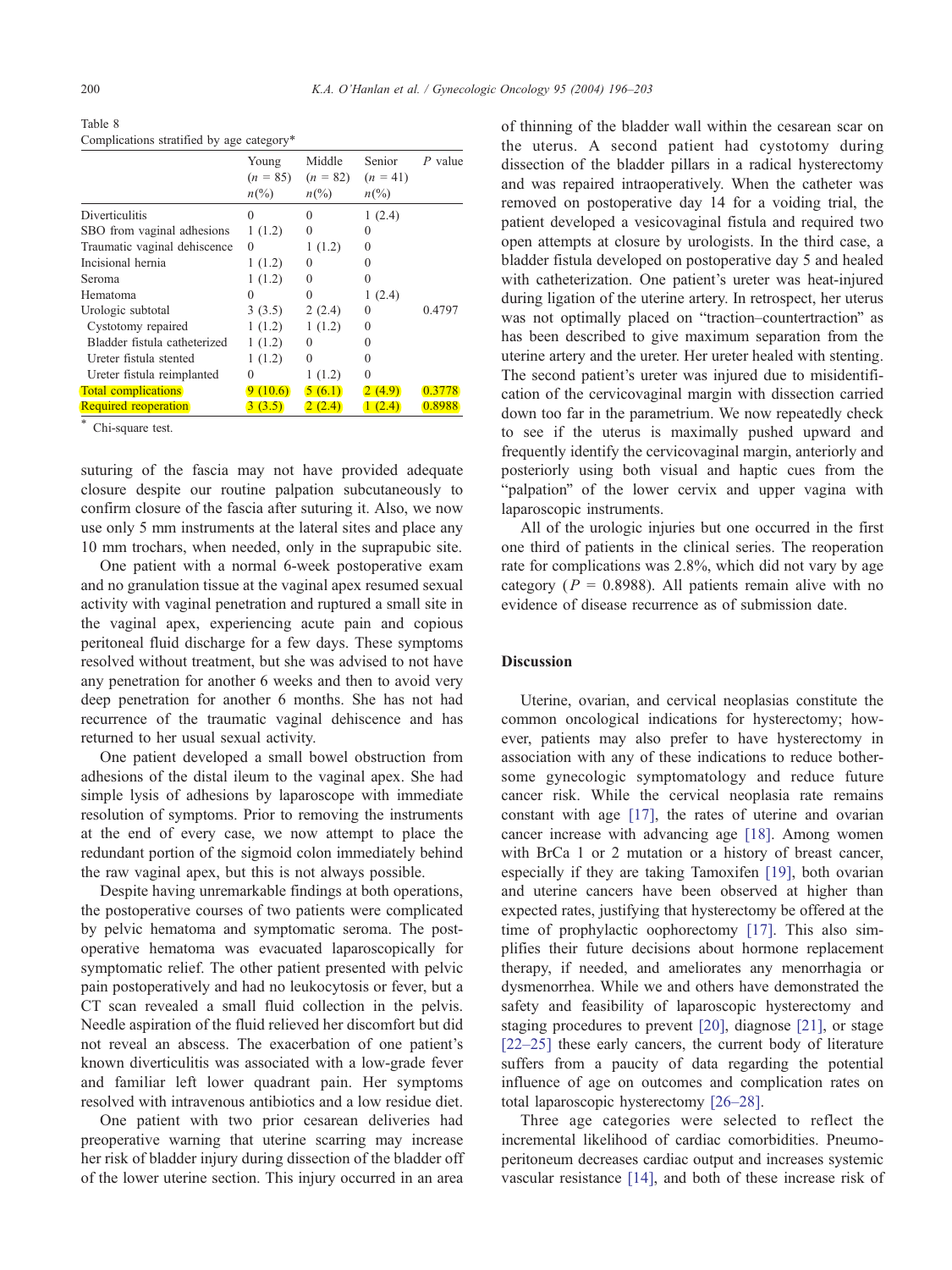<span id="page-4-0"></span>Table 8 Complications stratified by age category\*

|                              | Young<br>$(n = 85)$<br>$n\binom{0}{0}$ | Middle<br>$(n = 82)$<br>$n\binom{0}{0}$ | Senior<br>$(n = 41)$<br>$n\binom{0}{0}$ | $P$ value |
|------------------------------|----------------------------------------|-----------------------------------------|-----------------------------------------|-----------|
| <b>Diverticulitis</b>        | 0                                      | 0                                       | 1(2.4)                                  |           |
| SBO from vaginal adhesions   | 1(1.2)                                 | $\theta$                                | 0                                       |           |
| Traumatic vaginal dehiscence | $\Omega$                               | 1(1.2)                                  | 0                                       |           |
| Incisional hernia            | 1(1.2)                                 | 0                                       |                                         |           |
| Seroma                       | 1(1.2)                                 | 0                                       | 0                                       |           |
| Hematoma                     | $\theta$                               | $\theta$                                | 1(2.4)                                  |           |
| Urologic subtotal            | 3(3.5)                                 | 2(2.4)                                  | 0                                       | 0.4797    |
| Cystotomy repaired           | 1(1.2)                                 | 1(1.2)                                  | 0                                       |           |
| Bladder fistula catheterized | 1(1.2)                                 | 0                                       | $\mathbf{\Omega}$                       |           |
| Ureter fistula stented       | 1(1.2)                                 | 0                                       | 0                                       |           |
| Ureter fistula reimplanted   | $\theta$                               | 1(1.2)                                  | $\Omega$                                |           |
| <b>Total complications</b>   | (10.6)                                 | 5<br>(6.1)                              | (4.9)                                   | 0.3778    |
| <b>Required reoperation</b>  | (3.5)<br>3.                            | (2.4)                                   |                                         | 0.8988    |

\* Chi-square test.

suturing of the fascia may not have provided adequate closure despite our routine palpation subcutaneously to confirm closure of the fascia after suturing it. Also, we now use only 5 mm instruments at the lateral sites and place any 10 mm trochars, when needed, only in the suprapubic site.

One patient with a normal 6-week postoperative exam and no granulation tissue at the vaginal apex resumed sexual activity with vaginal penetration and ruptured a small site in the vaginal apex, experiencing acute pain and copious peritoneal fluid discharge for a few days. These symptoms resolved without treatment, but she was advised to not have any penetration for another 6 weeks and then to avoid very deep penetration for another 6 months. She has not had recurrence of the traumatic vaginal dehiscence and has returned to her usual sexual activity.

One patient developed a small bowel obstruction from adhesions of the distal ileum to the vaginal apex. She had simple lysis of adhesions by laparoscope with immediate resolution of symptoms. Prior to removing the instruments at the end of every case, we now attempt to place the redundant portion of the sigmoid colon immediately behind the raw vaginal apex, but this is not always possible.

Despite having unremarkable findings at both operations, the postoperative courses of two patients were complicated by pelvic hematoma and symptomatic seroma. The postoperative hematoma was evacuated laparoscopically for symptomatic relief. The other patient presented with pelvic pain postoperatively and had no leukocytosis or fever, but a CT scan revealed a small fluid collection in the pelvis. Needle aspiration of the fluid relieved her discomfort but did not reveal an abscess. The exacerbation of one patient's known diverticulitis was associated with a low-grade fever and familiar left lower quadrant pain. Her symptoms resolved with intravenous antibiotics and a low residue diet.

One patient with two prior cesarean deliveries had preoperative warning that uterine scarring may increase her risk of bladder injury during dissection of the bladder off of the lower uterine section. This injury occurred in an area of thinning of the bladder wall within the cesarean scar on the uterus. A second patient had cystotomy during dissection of the bladder pillars in a radical hysterectomy and was repaired intraoperatively. When the catheter was removed on postoperative day 14 for a voiding trial, the patient developed a vesicovaginal fistula and required two open attempts at closure by urologists. In the third case, a bladder fistula developed on postoperative day 5 and healed with catheterization. One patient's ureter was heat-injured during ligation of the uterine artery. In retrospect, her uterus was not optimally placed on "traction–countertraction" as has been described to give maximum separation from the uterine artery and the ureter. Her ureter healed with stenting. The second patient's ureter was injured due to misidentification of the cervicovaginal margin with dissection carried down too far in the parametrium. We now repeatedly check to see if the uterus is maximally pushed upward and frequently identify the cervicovaginal margin, anteriorly and posteriorly using both visual and haptic cues from the "palpation" of the lower cervix and upper vagina with laparoscopic instruments.

All of the urologic injuries but one occurred in the first one third of patients in the clinical series. The reoperation rate for complications was 2.8%, which did not vary by age category ( $P = 0.8988$ ). All patients remain alive with no evidence of disease recurrence as of submission date.

## Discussion

Uterine, ovarian, and cervical neoplasias constitute the common oncological indications for hysterectomy; however, patients may also prefer to have hysterectomy in association with any of these indications to reduce bothersome gynecologic symptomatology and reduce future cancer risk. While the cervical neoplasia rate remains constant with age [\[17\],](#page-6-0) the rates of uterine and ovarian cancer increase with advancing age [\[18\].](#page-6-0) Among women with BrCa 1 or 2 mutation or a history of breast cancer, especially if they are taking Tamoxifen [\[19\],](#page-6-0) both ovarian and uterine cancers have been observed at higher than expected rates, justifying that hysterectomy be offered at the time of prophylactic oophorectomy [\[17\].](#page-6-0) This also simplifies their future decisions about hormone replacement therapy, if needed, and ameliorates any menorrhagia or dysmenorrhea. While we and others have demonstrated the safety and feasibility of laparoscopic hysterectomy and staging procedures to prevent [\[20\],](#page-6-0) diagnose [\[21\],](#page-6-0) or stage [\[22–25\]](#page-7-0) these early cancers, the current body of literature suffers from a paucity of data regarding the potential influence of age on outcomes and complication rates on total laparoscopic hysterectomy [\[26–28\].](#page-7-0)

Three age categories were selected to reflect the incremental likelihood of cardiac comorbidities. Pneumoperitoneum decreases cardiac output and increases systemic vascular resistance [\[14\],](#page-6-0) and both of these increase risk of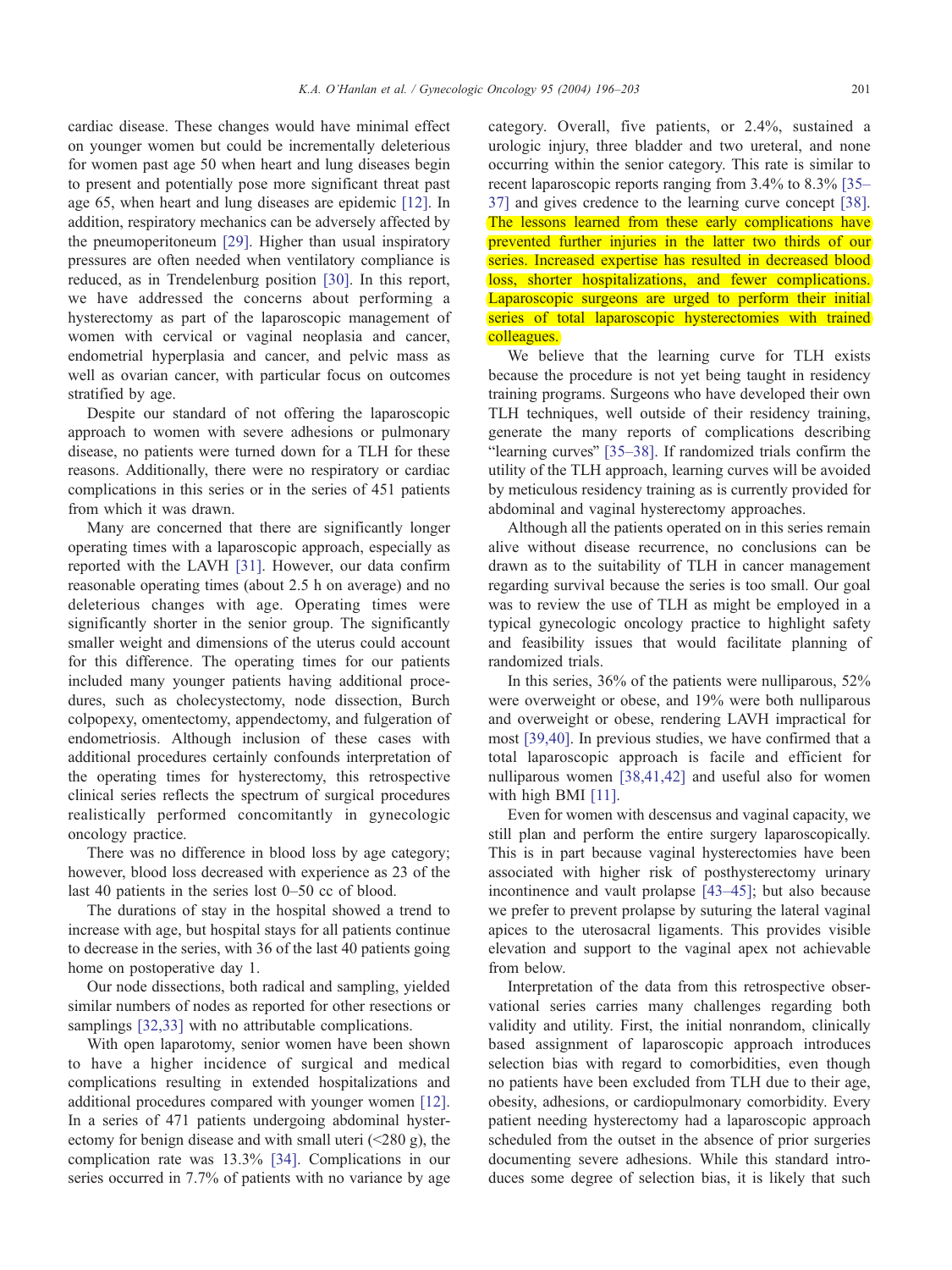cardiac disease. These changes would have minimal effect on younger women but could be incrementally deleterious for women past age 50 when heart and lung diseases begin to present and potentially pose more significant threat past age 65, when heart and lung diseases are epidemic [\[12\].](#page-6-0) In addition, respiratory mechanics can be adversely affected by the pneumoperitoneum [\[29\].](#page-7-0) Higher than usual inspiratory pressures are often needed when ventilatory compliance is reduced, as in Trendelenburg position [\[30\].](#page-7-0) In this report, we have addressed the concerns about performing a hysterectomy as part of the laparoscopic management of women with cervical or vaginal neoplasia and cancer, endometrial hyperplasia and cancer, and pelvic mass as well as ovarian cancer, with particular focus on outcomes stratified by age.

Despite our standard of not offering the laparoscopic approach to women with severe adhesions or pulmonary disease, no patients were turned down for a TLH for these reasons. Additionally, there were no respiratory or cardiac complications in this series or in the series of 451 patients from which it was drawn.

Many are concerned that there are significantly longer operating times with a laparoscopic approach, especially as reported with the LAVH [\[31\].](#page-7-0) However, our data confirm reasonable operating times (about 2.5 h on average) and no deleterious changes with age. Operating times were significantly shorter in the senior group. The significantly smaller weight and dimensions of the uterus could account for this difference. The operating times for our patients included many younger patients having additional procedures, such as cholecystectomy, node dissection, Burch colpopexy, omentectomy, appendectomy, and fulgeration of endometriosis. Although inclusion of these cases with additional procedures certainly confounds interpretation of the operating times for hysterectomy, this retrospective clinical series reflects the spectrum of surgical procedures realistically performed concomitantly in gynecologic oncology practice.

There was no difference in blood loss by age category; however, blood loss decreased with experience as 23 of the last 40 patients in the series lost 0–50 cc of blood.

The durations of stay in the hospital showed a trend to increase with age, but hospital stays for all patients continue to decrease in the series, with 36 of the last 40 patients going home on postoperative day 1.

Our node dissections, both radical and sampling, yielded similar numbers of nodes as reported for other resections or samplings [\[32,33\]](#page-7-0) with no attributable complications.

With open laparotomy, senior women have been shown to have a higher incidence of surgical and medical complications resulting in extended hospitalizations and additional procedures compared with younger women [\[12\].](#page-6-0) In a series of 471 patients undergoing abdominal hysterectomy for benign disease and with small uteri  $(\leq 280 \text{ g})$ , the complication rate was 13.3% [\[34\].](#page-7-0) Complications in our series occurred in 7.7% of patients with no variance by age

category. Overall, five patients, or 2.4%, sustained a urologic injury, three bladder and two ureteral, and none occurring within the senior category. This rate is similar to recent laparoscopic reports ranging from 3.4% to 8.3% [\[35–](#page-7-0) 37] and gives credence to the learning curve concept [\[38\].](#page-7-0) The lessons learned from these early complications have prevented further injuries in the latter two thirds of our series. Increased expertise has resulted in decreased blood loss, shorter hospitalizations, and fewer complications. Laparoscopic surgeons are urged to perform their initial series of total laparoscopic hysterectomies with trained colleagues.

We believe that the learning curve for TLH exists because the procedure is not yet being taught in residency training programs. Surgeons who have developed their own TLH techniques, well outside of their residency training, generate the many reports of complications describing "learning curves"  $[35-38]$ . If randomized trials confirm the utility of the TLH approach, learning curves will be avoided by meticulous residency training as is currently provided for abdominal and vaginal hysterectomy approaches.

Although all the patients operated on in this series remain alive without disease recurrence, no conclusions can be drawn as to the suitability of TLH in cancer management regarding survival because the series is too small. Our goal was to review the use of TLH as might be employed in a typical gynecologic oncology practice to highlight safety and feasibility issues that would facilitate planning of randomized trials.

In this series, 36% of the patients were nulliparous, 52% were overweight or obese, and 19% were both nulliparous and overweight or obese, rendering LAVH impractical for most [\[39,40\].](#page-7-0) In previous studies, we have confirmed that a total laparoscopic approach is facile and efficient for nulliparous women [\[38,41,42\]](#page-7-0) and useful also for women with high BMI [\[11\].](#page-6-0)

Even for women with descensus and vaginal capacity, we still plan and perform the entire surgery laparoscopically. This is in part because vaginal hysterectomies have been associated with higher risk of posthysterectomy urinary incontinence and vault prolapse [\[43–45\];](#page-7-0) but also because we prefer to prevent prolapse by suturing the lateral vaginal apices to the uterosacral ligaments. This provides visible elevation and support to the vaginal apex not achievable from below.

Interpretation of the data from this retrospective observational series carries many challenges regarding both validity and utility. First, the initial nonrandom, clinically based assignment of laparoscopic approach introduces selection bias with regard to comorbidities, even though no patients have been excluded from TLH due to their age, obesity, adhesions, or cardiopulmonary comorbidity. Every patient needing hysterectomy had a laparoscopic approach scheduled from the outset in the absence of prior surgeries documenting severe adhesions. While this standard introduces some degree of selection bias, it is likely that such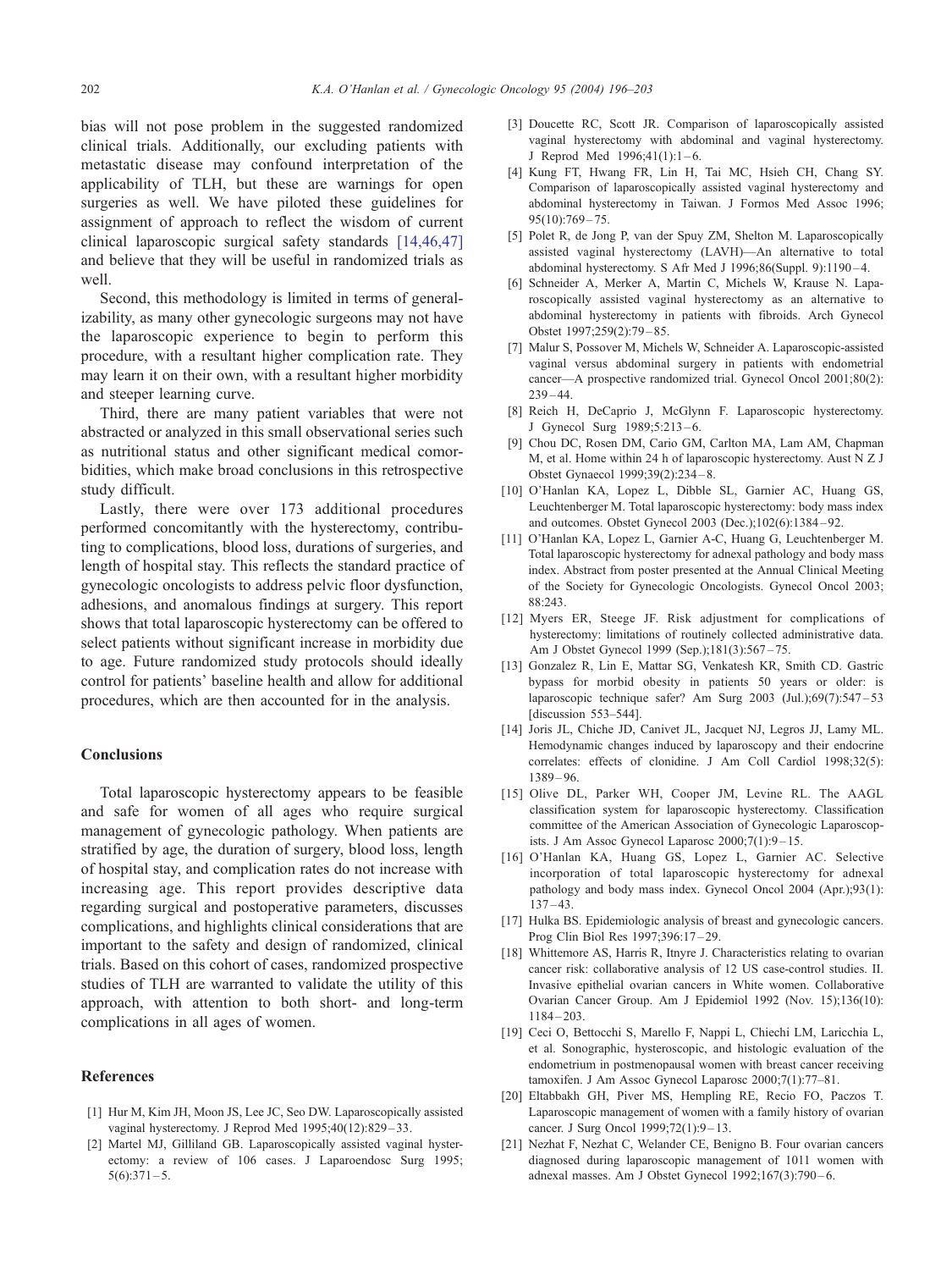<span id="page-6-0"></span>bias will not pose problem in the suggested randomized clinical trials. Additionally, our excluding patients with metastatic disease may confound interpretation of the applicability of TLH, but these are warnings for open surgeries as well. We have piloted these guidelines for assignment of approach to reflect the wisdom of current clinical laparoscopic surgical safety standards [14,46,47] and believe that they will be useful in randomized trials as well.

Second, this methodology is limited in terms of generalizability, as many other gynecologic surgeons may not have the laparoscopic experience to begin to perform this procedure, with a resultant higher complication rate. They may learn it on their own, with a resultant higher morbidity and steeper learning curve.

Third, there are many patient variables that were not abstracted or analyzed in this small observational series such as nutritional status and other significant medical comorbidities, which make broad conclusions in this retrospective study difficult.

Lastly, there were over 173 additional procedures performed concomitantly with the hysterectomy, contributing to complications, blood loss, durations of surgeries, and length of hospital stay. This reflects the standard practice of gynecologic oncologists to address pelvic floor dysfunction, adhesions, and anomalous findings at surgery. This report shows that total laparoscopic hysterectomy can be offered to select patients without significant increase in morbidity due to age. Future randomized study protocols should ideally control for patients' baseline health and allow for additional procedures, which are then accounted for in the analysis.

## Conclusions

Total laparoscopic hysterectomy appears to be feasible and safe for women of all ages who require surgical management of gynecologic pathology. When patients are stratified by age, the duration of surgery, blood loss, length of hospital stay, and complication rates do not increase with increasing age. This report provides descriptive data regarding surgical and postoperative parameters, discusses complications, and highlights clinical considerations that are important to the safety and design of randomized, clinical trials. Based on this cohort of cases, randomized prospective studies of TLH are warranted to validate the utility of this approach, with attention to both short- and long-term complications in all ages of women.

## References

- [1] Hur M, Kim JH, Moon JS, Lee JC, Seo DW. Laparoscopically assisted vaginal hysterectomy. J Reprod Med 1995;40(12):829 – 33.
- [2] Martel MJ, Gilliland GB. Laparoscopically assisted vaginal hysterectomy: a review of 106 cases. J Laparoendosc Surg 1995;  $5(6):371-5.$
- [3] Doucette RC, Scott JR. Comparison of laparoscopically assisted vaginal hysterectomy with abdominal and vaginal hysterectomy. J Reprod Med 1996;41(1):1-6.
- [4] Kung FT, Hwang FR, Lin H, Tai MC, Hsieh CH, Chang SY. Comparison of laparoscopically assisted vaginal hysterectomy and abdominal hysterectomy in Taiwan. J Formos Med Assoc 1996; 95(10):769 – 75.
- [5] Polet R, de Jong P, van der Spuy ZM, Shelton M. Laparoscopically assisted vaginal hysterectomy (LAVH)—An alternative to total abdominal hysterectomy. S Afr Med J 1996;86(Suppl. 9):1190 – 4.
- [6] Schneider A, Merker A, Martin C, Michels W, Krause N. Laparoscopically assisted vaginal hysterectomy as an alternative to abdominal hysterectomy in patients with fibroids. Arch Gynecol Obstet 1997;259(2):79 – 85.
- [7] Malur S, Possover M, Michels W, Schneider A. Laparoscopic-assisted vaginal versus abdominal surgery in patients with endometrial cancer—A prospective randomized trial. Gynecol Oncol 2001;80(2):  $239 - 44$
- [8] Reich H, DeCaprio J, McGlynn F, Laparoscopic hysterectomy. J Gynecol Surg 1989;5:213 – 6.
- [9] Chou DC, Rosen DM, Cario GM, Carlton MA, Lam AM, Chapman M, et al. Home within 24 h of laparoscopic hysterectomy. Aust N Z J Obstet Gynaecol 1999;39(2):234 – 8.
- [10] O'Hanlan KA, Lopez L, Dibble SL, Garnier AC, Huang GS, Leuchtenberger M. Total laparoscopic hysterectomy: body mass index and outcomes. Obstet Gynecol 2003 (Dec.);102(6):1384 – 92.
- [11] O'Hanlan KA, Lopez L, Garnier A-C, Huang G, Leuchtenberger M. Total laparoscopic hysterectomy for adnexal pathology and body mass index. Abstract from poster presented at the Annual Clinical Meeting of the Society for Gynecologic Oncologists. Gynecol Oncol 2003; 88:243.
- [12] Myers ER, Steege JF. Risk adjustment for complications of hysterectomy: limitations of routinely collected administrative data. Am J Obstet Gynecol 1999 (Sep.);181(3):567 – 75.
- [13] Gonzalez R, Lin E, Mattar SG, Venkatesh KR, Smith CD. Gastric bypass for morbid obesity in patients 50 years or older: is laparoscopic technique safer? Am Surg  $2003$  (Jul.);69(7):547-53 [discussion 553–544].
- [14] Joris JL, Chiche JD, Canivet JL, Jacquet NJ, Legros JJ, Lamy ML. Hemodynamic changes induced by laparoscopy and their endocrine correlates: effects of clonidine. J Am Coll Cardiol 1998;32(5): 1389 – 96.
- [15] Olive DL, Parker WH, Cooper JM, Levine RL. The AAGL classification system for laparoscopic hysterectomy. Classification committee of the American Association of Gynecologic Laparoscopists. J Am Assoc Gynecol Laparosc  $2000;7(1):9-15$ .
- [16] O'Hanlan KA, Huang GS, Lopez L, Garnier AC. Selective incorporation of total laparoscopic hysterectomy for adnexal pathology and body mass index. Gynecol Oncol 2004 (Apr.);93(1):  $137 - 43$ .
- [17] Hulka BS. Epidemiologic analysis of breast and gynecologic cancers. Prog Clin Biol Res 1997;396:17 – 29.
- [18] Whittemore AS, Harris R, Itnyre J. Characteristics relating to ovarian cancer risk: collaborative analysis of 12 US case-control studies. II. Invasive epithelial ovarian cancers in White women. Collaborative Ovarian Cancer Group. Am J Epidemiol 1992 (Nov. 15);136(10):  $1184 - 203$ .
- [19] Ceci O, Bettocchi S, Marello F, Nappi L, Chiechi LM, Laricchia L, et al. Sonographic, hysteroscopic, and histologic evaluation of the endometrium in postmenopausal women with breast cancer receiving tamoxifen. J Am Assoc Gynecol Laparosc 2000;7(1):77–81.
- [20] Eltabbakh GH, Piver MS, Hempling RE, Recio FO, Paczos T. Laparoscopic management of women with a family history of ovarian cancer. J Surg Oncol 1999;72(1):9-13.
- [21] Nezhat F, Nezhat C, Welander CE, Benigno B. Four ovarian cancers diagnosed during laparoscopic management of 1011 women with adnexal masses. Am J Obstet Gynecol 1992;167(3):790 – 6.